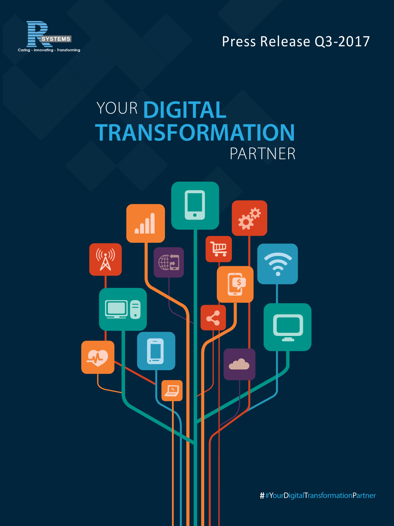Press Release Q3‐2017



# YOUR DIGITAL **TRANSFORMATION** PARTNER

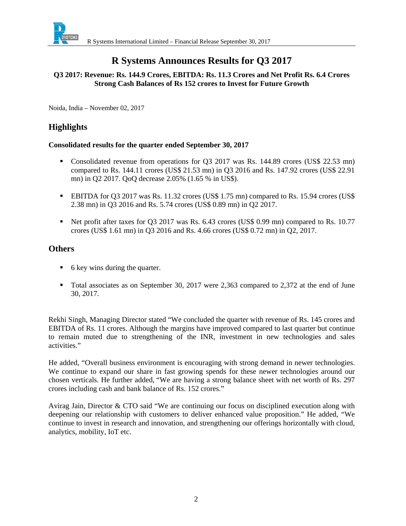

## **R Systems Announces Results for Q3 2017**

## **Q3 2017: Revenue: Rs. 144.9 Crores, EBITDA: Rs. 11.3 Crores and Net Profit Rs. 6.4 Crores Strong Cash Balances of Rs 152 crores to Invest for Future Growth**

Noida, India – November 02, 2017

## **Highlights**

#### **Consolidated results for the quarter ended September 30, 2017**

- Consolidated revenue from operations for Q3 2017 was Rs. 144.89 crores (US\$ 22.53 mn) compared to Rs. 144.11 crores (US\$ 21.53 mn) in Q3 2016 and Rs. 147.92 crores (US\$ 22.91 mn) in Q2 2017. QoQ decrease 2.05% (1.65 % in US\$).
- EBITDA for Q3 2017 was Rs. 11.32 crores (US\$ 1.75 mn) compared to Rs. 15.94 crores (US\$ 2.38 mn) in Q3 2016 and Rs. 5.74 crores (US\$ 0.89 mn) in Q2 2017.
- Net profit after taxes for Q3 2017 was Rs. 6.43 crores (US\$ 0.99 mn) compared to Rs. 10.77 crores (US\$ 1.61 mn) in Q3 2016 and Rs. 4.66 crores (US\$ 0.72 mn) in Q2, 2017.

## **Others**

- 6 key wins during the quarter.
- Total associates as on September 30, 2017 were 2,363 compared to 2,372 at the end of June 30, 2017.

Rekhi Singh, Managing Director stated "We concluded the quarter with revenue of Rs. 145 crores and EBITDA of Rs. 11 crores. Although the margins have improved compared to last quarter but continue to remain muted due to strengthening of the INR, investment in new technologies and sales activities."

He added, "Overall business environment is encouraging with strong demand in newer technologies. We continue to expand our share in fast growing spends for these newer technologies around our chosen verticals. He further added, "We are having a strong balance sheet with net worth of Rs. 297 crores including cash and bank balance of Rs. 152 crores."

Avirag Jain, Director & CTO said "We are continuing our focus on disciplined execution along with deepening our relationship with customers to deliver enhanced value proposition." He added, "We continue to invest in research and innovation, and strengthening our offerings horizontally with cloud, analytics, mobility, IoT etc.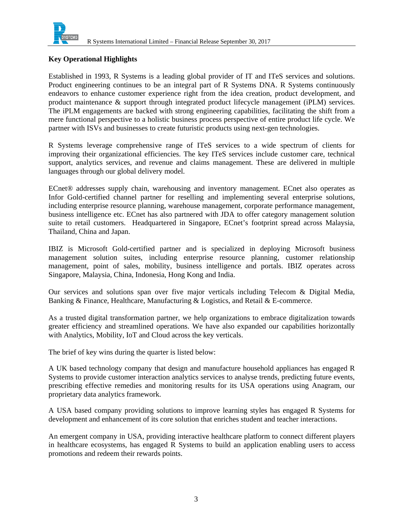

#### **Key Operational Highlights**

Established in 1993, R Systems is a leading global provider of IT and ITeS services and solutions. Product engineering continues to be an integral part of R Systems DNA. R Systems continuously endeavors to enhance customer experience right from the idea creation, product development, and product maintenance & support through integrated product lifecycle management (iPLM) services. The iPLM engagements are backed with strong engineering capabilities, facilitating the shift from a mere functional perspective to a holistic business process perspective of entire product life cycle. We partner with ISVs and businesses to create futuristic products using next-gen technologies.

R Systems leverage comprehensive range of ITeS services to a wide spectrum of clients for improving their organizational efficiencies. The key ITeS services include customer care, technical support, analytics services, and revenue and claims management. These are delivered in multiple languages through our global delivery model.

ECnet® addresses supply chain, warehousing and inventory management. ECnet also operates as Infor Gold-certified channel partner for reselling and implementing several enterprise solutions, including enterprise resource planning, warehouse management, corporate performance management, business intelligence etc. ECnet has also partnered with JDA to offer category management solution suite to retail customers. Headquartered in Singapore, ECnet's footprint spread across Malaysia, Thailand, China and Japan.

IBIZ is Microsoft Gold-certified partner and is specialized in deploying Microsoft business management solution suites, including enterprise resource planning, customer relationship management, point of sales, mobility, business intelligence and portals. IBIZ operates across Singapore, Malaysia, China, Indonesia, Hong Kong and India.

Our services and solutions span over five major verticals including Telecom & Digital Media, Banking & Finance, Healthcare, Manufacturing & Logistics, and Retail & E-commerce.

As a trusted digital transformation partner, we help organizations to embrace digitalization towards greater efficiency and streamlined operations. We have also expanded our capabilities horizontally with Analytics, Mobility, IoT and Cloud across the key verticals.

The brief of key wins during the quarter is listed below:

A UK based technology company that design and manufacture household appliances has engaged R Systems to provide customer interaction analytics services to analyse trends, predicting future events, prescribing effective remedies and monitoring results for its USA operations using Anagram, our proprietary data analytics framework.

A USA based company providing solutions to improve learning styles has engaged R Systems for development and enhancement of its core solution that enriches student and teacher interactions.

An emergent company in USA, providing interactive healthcare platform to connect different players in healthcare ecosystems, has engaged R Systems to build an application enabling users to access promotions and redeem their rewards points.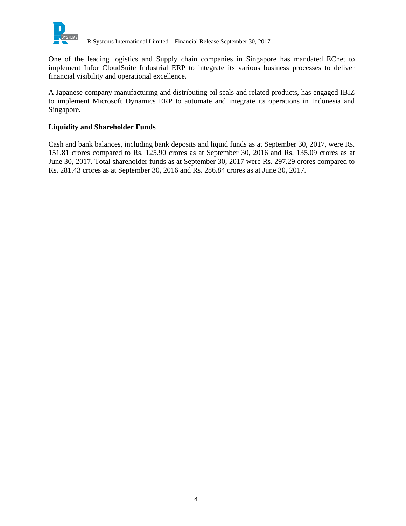

One of the leading logistics and Supply chain companies in Singapore has mandated ECnet to implement Infor CloudSuite Industrial ERP to integrate its various business processes to deliver financial visibility and operational excellence.

A Japanese company manufacturing and distributing oil seals and related products, has engaged IBIZ to implement Microsoft Dynamics ERP to automate and integrate its operations in Indonesia and Singapore.

## **Liquidity and Shareholder Funds**

Cash and bank balances, including bank deposits and liquid funds as at September 30, 2017, were Rs. 151.81 crores compared to Rs. 125.90 crores as at September 30, 2016 and Rs. 135.09 crores as at June 30, 2017. Total shareholder funds as at September 30, 2017 were Rs. 297.29 crores compared to Rs. 281.43 crores as at September 30, 2016 and Rs. 286.84 crores as at June 30, 2017.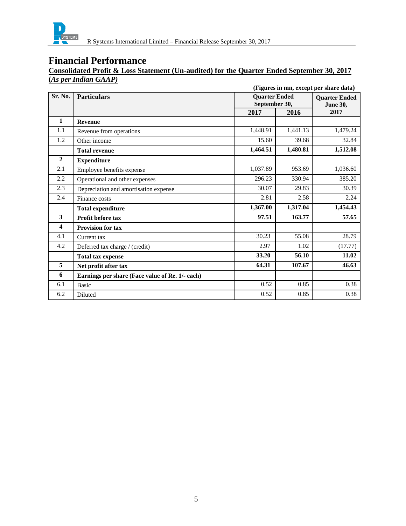

### **Consolidated Profit & Loss Statement (Un-audited) for the Quarter Ended September 30, 2017 (***As per Indian GAAP)*

|                         | (Figures in mn, except per share data)          |                                                               |          |                         |
|-------------------------|-------------------------------------------------|---------------------------------------------------------------|----------|-------------------------|
| Sr. No.                 | <b>Particulars</b>                              | <b>Ouarter Ended</b><br><b>Quarter Ended</b><br>September 30, |          |                         |
|                         |                                                 | 2017                                                          | 2016     | <b>June 30,</b><br>2017 |
| $\mathbf{1}$            | <b>Revenue</b>                                  |                                                               |          |                         |
| 1.1                     | Revenue from operations                         | 1,448.91                                                      | 1,441.13 | 1,479.24                |
| 1.2                     | Other income                                    | 15.60                                                         | 39.68    | 32.84                   |
|                         | <b>Total revenue</b>                            | 1,464.51                                                      | 1,480.81 | 1,512.08                |
| $\overline{2}$          | <b>Expenditure</b>                              |                                                               |          |                         |
| 2.1                     | Employee benefits expense                       | 1,037.89                                                      | 953.69   | 1,036.60                |
| 2.2                     | Operational and other expenses                  | 296.23                                                        | 330.94   | 385.20                  |
| 2.3                     | Depreciation and amortisation expense           | 30.07                                                         | 29.83    | 30.39                   |
| 2.4                     | Finance costs                                   | 2.81                                                          | 2.58     | 2.24                    |
|                         | <b>Total expenditure</b>                        | 1,367.00                                                      | 1,317.04 | 1,454.43                |
| $\overline{\mathbf{3}}$ | <b>Profit before tax</b>                        | 97.51                                                         | 163.77   | 57.65                   |
| $\overline{\mathbf{4}}$ | <b>Provision for tax</b>                        |                                                               |          |                         |
| 4.1                     | Current tax                                     | 30.23                                                         | 55.08    | 28.79                   |
| 4.2                     | Deferred tax charge / (credit)                  | 2.97                                                          | 1.02     | (17.77)                 |
|                         | <b>Total tax expense</b>                        | 33.20                                                         | 56.10    | 11.02                   |
| 5                       | Net profit after tax                            | 64.31                                                         | 107.67   | 46.63                   |
| 6                       | Earnings per share (Face value of Re. 1/- each) |                                                               |          |                         |
| 6.1                     | <b>Basic</b>                                    | 0.52                                                          | 0.85     | 0.38                    |
| 6.2                     | Diluted                                         | 0.52                                                          | 0.85     | 0.38                    |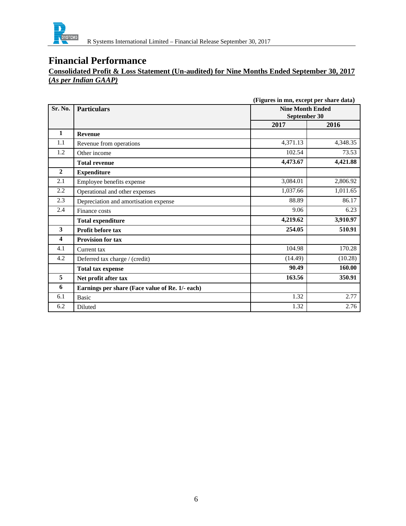

## **Consolidated Profit & Loss Statement (Un-audited) for Nine Months Ended September 30, 2017 (***As per Indian GAAP)*

|                         |                                                 | (Figures in mn, except per share data)  |          |
|-------------------------|-------------------------------------------------|-----------------------------------------|----------|
| Sr. No.                 | <b>Particulars</b>                              | <b>Nine Month Ended</b><br>September 30 |          |
|                         |                                                 | 2017                                    | 2016     |
| $\mathbf{1}$            | <b>Revenue</b>                                  |                                         |          |
| 1.1                     | Revenue from operations                         | 4,371.13                                | 4,348.35 |
| 1.2                     | Other income                                    | 102.54                                  | 73.53    |
|                         | <b>Total revenue</b>                            | 4,473.67                                | 4,421.88 |
| $\mathbf{2}$            | <b>Expenditure</b>                              |                                         |          |
| 2.1                     | Employee benefits expense                       | 3,084.01                                | 2,806.92 |
| 2.2                     | Operational and other expenses                  | 1,037.66                                | 1,011.65 |
| 2.3                     | Depreciation and amortisation expense           | 88.89                                   | 86.17    |
| 2.4                     | Finance costs                                   | 9.06                                    | 6.23     |
|                         | <b>Total expenditure</b>                        | 4,219.62                                | 3,910.97 |
| 3                       | Profit before tax                               | 254.05                                  | 510.91   |
| $\overline{\mathbf{4}}$ | <b>Provision for tax</b>                        |                                         |          |
| 4.1                     | Current tax                                     | 104.98                                  | 170.28   |
| 4.2                     | Deferred tax charge / (credit)                  | (14.49)                                 | (10.28)  |
|                         | <b>Total tax expense</b>                        | 90.49                                   | 160.00   |
| 5                       | Net profit after tax                            | 163.56                                  | 350.91   |
| 6                       | Earnings per share (Face value of Re. 1/- each) |                                         |          |
| 6.1                     | <b>Basic</b>                                    | 1.32                                    | 2.77     |
| 6.2                     | Diluted                                         | 1.32                                    | 2.76     |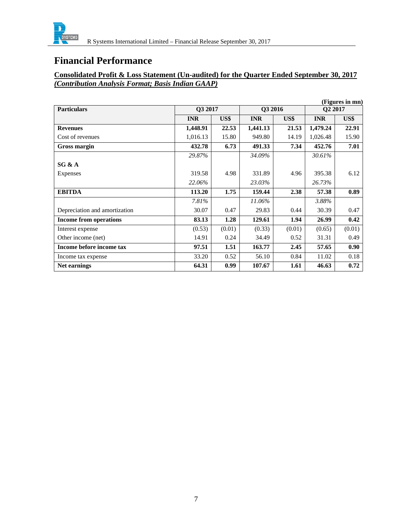

## **Consolidated Profit & Loss Statement (Un-audited) for the Quarter Ended September 30, 2017**  *(Contribution Analysis Format; Basis Indian GAAP)*

| (Figures in mn)               |            |        |            |        |                     |        |
|-------------------------------|------------|--------|------------|--------|---------------------|--------|
| <b>Particulars</b>            | O3 2017    |        | Q3 2016    |        | Q <sub>2</sub> 2017 |        |
|                               | <b>INR</b> | US\$   | <b>INR</b> | US\$   | <b>INR</b>          | US\$   |
| <b>Revenues</b>               | 1,448.91   | 22.53  | 1,441.13   | 21.53  | 1,479.24            | 22.91  |
| Cost of revenues              | 1,016.13   | 15.80  | 949.80     | 14.19  | 1,026.48            | 15.90  |
| Gross margin                  | 432.78     | 6.73   | 491.33     | 7.34   | 452.76              | 7.01   |
|                               | 29.87%     |        | 34.09%     |        | 30.61%              |        |
| SG & A                        |            |        |            |        |                     |        |
| Expenses                      | 319.58     | 4.98   | 331.89     | 4.96   | 395.38              | 6.12   |
|                               | 22.06%     |        | 23.03%     |        | 26.73%              |        |
| <b>EBITDA</b>                 | 113.20     | 1.75   | 159.44     | 2.38   | 57.38               | 0.89   |
|                               | 7.81%      |        | 11.06%     |        | 3.88%               |        |
| Depreciation and amortization | 30.07      | 0.47   | 29.83      | 0.44   | 30.39               | 0.47   |
| <b>Income from operations</b> | 83.13      | 1.28   | 129.61     | 1.94   | 26.99               | 0.42   |
| Interest expense              | (0.53)     | (0.01) | (0.33)     | (0.01) | (0.65)              | (0.01) |
| Other income (net)            | 14.91      | 0.24   | 34.49      | 0.52   | 31.31               | 0.49   |
| Income before income tax      | 97.51      | 1.51   | 163.77     | 2.45   | 57.65               | 0.90   |
| Income tax expense            | 33.20      | 0.52   | 56.10      | 0.84   | 11.02               | 0.18   |
| Net earnings                  | 64.31      | 0.99   | 107.67     | 1.61   | 46.63               | 0.72   |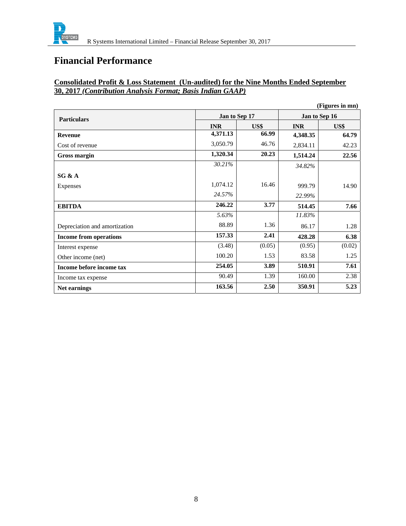

## **Consolidated Profit & Loss Statement (Un-audited) for the Nine Months Ended September 30, 2017** *(Contribution Analysis Format; Basis Indian GAAP)*

|                               |               |        |               | (Figures in mn) |
|-------------------------------|---------------|--------|---------------|-----------------|
| <b>Particulars</b>            | Jan to Sep 17 |        | Jan to Sep 16 |                 |
|                               | <b>INR</b>    | US\$   | <b>INR</b>    | US\$            |
| <b>Revenue</b>                | 4,371.13      | 66.99  | 4,348.35      | 64.79           |
| Cost of revenue               | 3,050.79      | 46.76  | 2,834.11      | 42.23           |
| Gross margin                  | 1,320.34      | 20.23  | 1,514.24      | 22.56           |
|                               | 30.21%        |        | 34.82%        |                 |
| SG & A                        |               |        |               |                 |
| Expenses                      | 1,074.12      | 16.46  | 999.79        | 14.90           |
|                               | 24.57%        |        | 22.99%        |                 |
| <b>EBITDA</b>                 | 246.22        | 3.77   | 514.45        | 7.66            |
|                               | 5.63%         |        | 11.83%        |                 |
| Depreciation and amortization | 88.89         | 1.36   | 86.17         | 1.28            |
| <b>Income from operations</b> | 157.33        | 2.41   | 428.28        | 6.38            |
| Interest expense              | (3.48)        | (0.05) | (0.95)        | (0.02)          |
| Other income (net)            | 100.20        | 1.53   | 83.58         | 1.25            |
| Income before income tax      | 254.05        | 3.89   | 510.91        | 7.61            |
| Income tax expense            | 90.49         | 1.39   | 160.00        | 2.38            |
| Net earnings                  | 163.56        | 2.50   | 350.91        | 5.23            |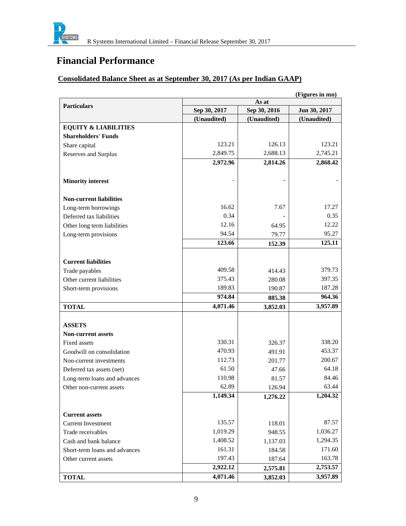

## **Consolidated Balance Sheet as at September 30, 2017 (As per Indian GAAP)**

|                                 | (Figures in mn)             |                             |                             |  |  |
|---------------------------------|-----------------------------|-----------------------------|-----------------------------|--|--|
| <b>Particulars</b>              |                             | As at                       |                             |  |  |
|                                 | Sep 30, 2017<br>(Unaudited) | Sep 30, 2016<br>(Unaudited) | Jun 30, 2017<br>(Unaudited) |  |  |
| <b>EQUITY &amp; LIABILITIES</b> |                             |                             |                             |  |  |
| <b>Shareholders' Funds</b>      |                             |                             |                             |  |  |
| Share capital                   | 123.21                      | 126.13                      | 123.21                      |  |  |
| Reserves and Surplus            | 2,849.75                    | 2,688.13                    | 2,745.21                    |  |  |
|                                 | 2,972.96                    | 2,814.26                    | 2,868.42                    |  |  |
|                                 |                             |                             |                             |  |  |
| <b>Minority interest</b>        |                             |                             |                             |  |  |
| <b>Non-current liabilities</b>  |                             |                             |                             |  |  |
| Long-term borrowings            | 16.62                       | 7.67                        | 17.27                       |  |  |
| Deferred tax liabilities        | 0.34                        |                             | 0.35                        |  |  |
| Other long term liabilities     | 12.16                       | 64.95                       | 12.22                       |  |  |
| Long-term provisions            | 94.54                       | 79.77                       | 95.27                       |  |  |
|                                 | 123.66                      | 152.39                      | 125.11                      |  |  |
|                                 |                             |                             |                             |  |  |
| <b>Current liabilities</b>      |                             |                             |                             |  |  |
| Trade payables                  | 409.58                      | 414.43                      | 379.73                      |  |  |
| Other current liabilities       | 375.43                      | 280.08                      | 397.35                      |  |  |
| Short-term provisions           | 189.83                      | 190.87                      | 187.28                      |  |  |
|                                 | 974.84                      | 885.38                      | 964.36                      |  |  |
| <b>TOTAL</b>                    | 4,071.46                    | 3,852.03                    | 3,957.89                    |  |  |
|                                 |                             |                             |                             |  |  |
| <b>ASSETS</b>                   |                             |                             |                             |  |  |
| <b>Non-current assets</b>       |                             |                             |                             |  |  |
| Fixed assets                    | 330.31                      | 326.37                      | 338.20                      |  |  |
| Goodwill on consolidation       | 470.93                      | 491.91                      | 453.37                      |  |  |
| Non-current investments         | 112.73                      | 201.77                      | 200.67                      |  |  |
| Deferred tax assets (net)       | 61.50                       | 47.66                       | 64.18                       |  |  |
| Long-term loans and advances    | 110.98                      | 81.57                       | 84.46                       |  |  |
| Other non-current assets        | 62.89                       | 126.94                      | 63.44                       |  |  |
|                                 | 1,149.34                    | 1,276.22                    | 1,204.32                    |  |  |
| <b>Current assets</b>           |                             |                             |                             |  |  |
| <b>Current Investment</b>       | 135.57                      | 118.01                      | 87.57                       |  |  |
| Trade receivables               | 1,019.29                    | 948.55                      | 1,036.27                    |  |  |
| Cash and bank balance           | 1,408.52                    | 1,137.03                    | 1,294.35                    |  |  |
| Short-term loans and advances   | 161.31                      | 184.58                      | 171.60                      |  |  |
| Other current assets            | 197.43                      | 187.64                      | 163.78                      |  |  |
|                                 | 2,922.12                    | 2,575.81                    | 2,753.57                    |  |  |
| <b>TOTAL</b>                    | 4,071.46                    | 3,852.03                    | 3,957.89                    |  |  |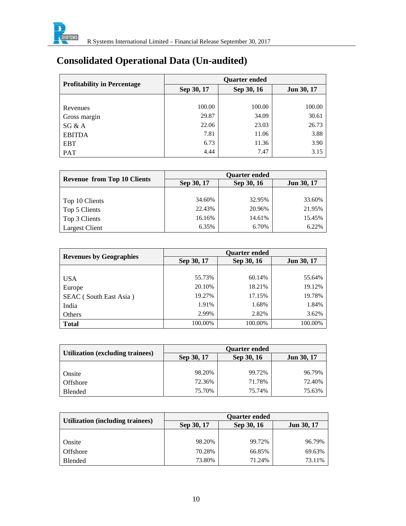

# **Consolidated Operational Data (Un-audited)**

| <b>Profitability in Percentage</b> | <b>Quarter ended</b> |            |            |  |
|------------------------------------|----------------------|------------|------------|--|
|                                    | Sep 30, 17           | Sep 30, 16 | Jun 30, 17 |  |
|                                    |                      |            |            |  |
| Revenues                           | 100.00               | 100.00     | 100.00     |  |
| Gross margin                       | 29.87                | 34.09      | 30.61      |  |
| SG & A                             | 22.06                | 23.03      | 26.73      |  |
| <b>EBITDA</b>                      | 7.81                 | 11.06      | 3.88       |  |
| <b>EBT</b>                         | 6.73                 | 11.36      | 3.90       |  |
| PAT                                | 4.44                 | 7.47       | 3.15       |  |

|                                    | <b>Quarter ended</b> |            |            |  |
|------------------------------------|----------------------|------------|------------|--|
| <b>Revenue from Top 10 Clients</b> | Sep 30, 17           | Sep 30, 16 | Jun 30, 17 |  |
|                                    |                      |            |            |  |
| Top 10 Clients                     | 34.60%               | 32.95%     | 33.60%     |  |
| Top 5 Clients                      | 22.43%               | 20.96%     | 21.95%     |  |
| Top 3 Clients                      | 16.16%               | 14.61%     | 15.45%     |  |
| <b>Largest Client</b>              | 6.35%                | 6.70%      | 6.22%      |  |

| <b>Revenues by Geographies</b> | <b>Quarter ended</b> |            |                   |  |
|--------------------------------|----------------------|------------|-------------------|--|
|                                | Sep 30, 17           | Sep 30, 16 | <b>Jun 30, 17</b> |  |
|                                |                      |            |                   |  |
| <b>USA</b>                     | 55.73%               | 60.14%     | 55.64%            |  |
| Europe                         | 20.10%               | 18.21%     | 19.12%            |  |
| SEAC (South East Asia)         | 19.27%               | 17.15%     | 19.78%            |  |
| India                          | 1.91%                | 1.68%      | 1.84%             |  |
| Others                         | 2.99%                | 2.82%      | 3.62%             |  |
| <b>Total</b>                   | 100.00%              | 100.00%    | 100.00%           |  |

|                                  | <b>Quarter ended</b> |            |                   |  |
|----------------------------------|----------------------|------------|-------------------|--|
| Utilization (excluding trainees) | Sep 30, 17           | Sep 30, 16 | <b>Jun 30, 17</b> |  |
|                                  |                      |            |                   |  |
| Onsite                           | 98.20%               | 99.72%     | 96.79%            |  |
| Offshore                         | 72.36%               | 71.78%     | 72.40%            |  |
| Blended                          | 75.70%               | 75.74%     | 75.63%            |  |

|                                  | <b>Ouarter ended</b> |            |                   |  |
|----------------------------------|----------------------|------------|-------------------|--|
| Utilization (including trainees) | Sep 30, 17           | Sep 30, 16 | <b>Jun 30, 17</b> |  |
|                                  |                      |            |                   |  |
| <b>Onsite</b>                    | 98.20%               | 99.72%     | 96.79%            |  |
| Offshore                         | 70.28%               | 66.85%     | 69.63%            |  |
| Blended                          | 73.80%               | 71.24%     | 73.11%            |  |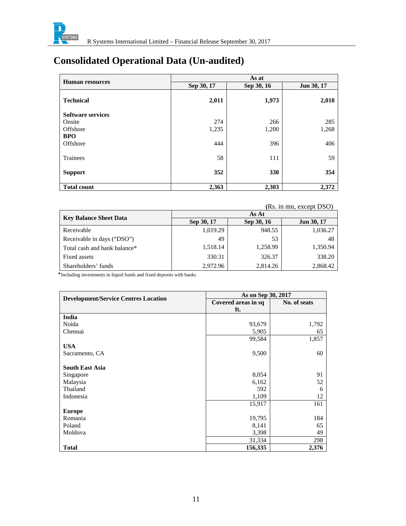

# **Consolidated Operational Data (Un-audited)**

|                          |            | As at      |            |
|--------------------------|------------|------------|------------|
| <b>Human resources</b>   | Sep 30, 17 | Sep 30, 16 | Jun 30, 17 |
| <b>Technical</b>         | 2,011      | 1,973      | 2,018      |
| <b>Software services</b> |            |            |            |
| Onsite                   | 274        | 266        | 285        |
| Offshore                 | 1,235      | 1,200      | 1,268      |
| <b>BPO</b>               |            |            |            |
| Offshore                 | 444        | 396        | 406        |
| <b>Trainees</b>          | 58         | 111        | 59         |
| <b>Support</b>           | 352        | 330        | 354        |
| <b>Total count</b>       | 2,363      | 2,303      | 2,372      |

#### **(**Rs. in mn, except DSO)

|                               |            | As At      |                   |
|-------------------------------|------------|------------|-------------------|
| <b>Key Balance Sheet Data</b> | Sep 30, 17 | Sep 30, 16 | <b>Jun 30, 17</b> |
| Receivable                    | 1,019.29   | 948.55     | 1,036.27          |
| Receivable in days ("DSO")    | 49         | 53         | 48                |
| Total cash and bank balance*  | 1,518.14   | 1,258.99   | 1,350.94          |
| Fixed assets                  | 330.31     | 326.37     | 338.20            |
| Shareholders' funds           | 2,972.96   | 2,814.26   | 2.868.42          |

\*Including investments in liquid funds and fixed deposits with banks

|                                             | As on Sep 30, 2017  |              |
|---------------------------------------------|---------------------|--------------|
| <b>Development/Service Centres Location</b> | Covered areas in sq | No. of seats |
|                                             | ft.                 |              |
| India                                       |                     |              |
| Noida                                       | 93,679              | 1,792        |
| Chennai                                     | 5,905               | 65           |
|                                             | 99,584              | 1,857        |
| <b>USA</b>                                  |                     |              |
| Sacramento, CA                              | 9,500               | 60           |
|                                             |                     |              |
| <b>South East Asia</b>                      |                     |              |
| Singapore                                   | 8,054               | 91           |
| Malaysia                                    | 6,162               | 52           |
| Thailand                                    | 592                 | 6            |
| Indonesia                                   | 1,109               | 12           |
|                                             | 15,917              | 161          |
| <b>Europe</b>                               |                     |              |
| Romania                                     | 19,795              | 184          |
| Poland                                      | 8,141               | 65           |
| Moldova                                     | 3,398               | 49           |
|                                             | 31,334              | 298          |
| <b>Total</b>                                | 156,335             | 2,376        |